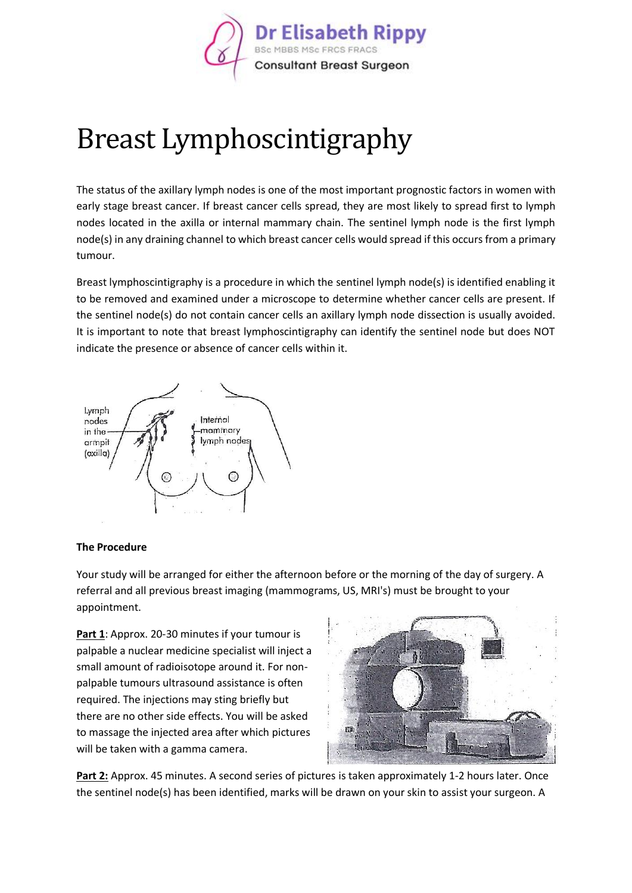

## Breast Lymphoscintigraphy

The status of the axillary lymph nodes is one of the most important prognostic factors in women with early stage breast cancer. If breast cancer cells spread, they are most likely to spread first to lymph nodes located in the axilla or internal mammary chain. The sentinel lymph node is the first lymph node(s) in any draining channel to which breast cancer cells would spread if this occurs from a primary tumour.

Breast lymphoscintigraphy is a procedure in which the sentinel lymph node(s) is identified enabling it to be removed and examined under a microscope to determine whether cancer cells are present. If the sentinel node(s) do not contain cancer cells an axillary lymph node dissection is usually avoided. It is important to note that breast lymphoscintigraphy can identify the sentinel node but does NOT indicate the presence or absence of cancer cells within it.



## **The Procedure**

Your study will be arranged for either the afternoon before or the morning of the day of surgery. A referral and all previous breast imaging (mammograms, US, MRI's) must be brought to your appointment.

**Part 1**: Approx. 20-30 minutes if your tumour is palpable a nuclear medicine specialist will inject a small amount of radioisotope around it. For nonpalpable tumours ultrasound assistance is often required. The injections may sting briefly but there are no other side effects. You will be asked to massage the injected area after which pictures will be taken with a gamma camera.



**Part 2:** Approx. 45 minutes. A second series of pictures is taken approximately 1-2 hours later. Once the sentinel node(s) has been identified, marks will be drawn on your skin to assist your surgeon. A